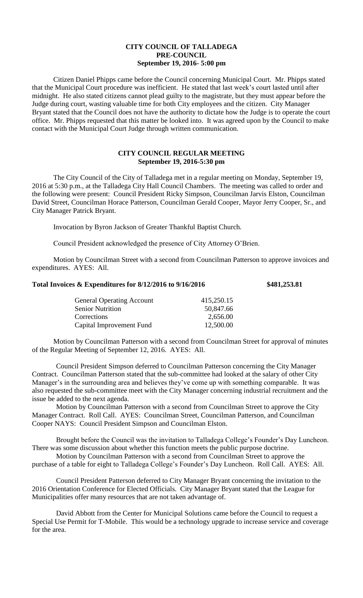## **CITY COUNCIL OF TALLADEGA PRE-COUNCIL September 19, 2016- 5:00 pm**

Citizen Daniel Phipps came before the Council concerning Municipal Court. Mr. Phipps stated that the Municipal Court procedure was inefficient. He stated that last week's court lasted until after midnight. He also stated citizens cannot plead guilty to the magistrate, but they must appear before the Judge during court, wasting valuable time for both City employees and the citizen. City Manager Bryant stated that the Council does not have the authority to dictate how the Judge is to operate the court office. Mr. Phipps requested that this matter be looked into. It was agreed upon by the Council to make contact with the Municipal Court Judge through written communication.

## **CITY COUNCIL REGULAR MEETING September 19, 2016-5:30 pm**

The City Council of the City of Talladega met in a regular meeting on Monday, September 19, 2016 at 5:30 p.m., at the Talladega City Hall Council Chambers. The meeting was called to order and the following were present: Council President Ricky Simpson, Councilman Jarvis Elston, Councilman David Street, Councilman Horace Patterson, Councilman Gerald Cooper, Mayor Jerry Cooper, Sr., and City Manager Patrick Bryant.

Invocation by Byron Jackson of Greater Thankful Baptist Church.

Council President acknowledged the presence of City Attorney O'Brien.

Motion by Councilman Street with a second from Councilman Patterson to approve invoices and expenditures. AYES: All.

## **Total Invoices & Expenditures for 8/12/2016 to 9/16/2016 \$481,253.81**

| <b>General Operating Account</b> | 415,250.15 |
|----------------------------------|------------|
| <b>Senior Nutrition</b>          | 50,847.66  |
| Corrections                      | 2,656.00   |
| Capital Improvement Fund         | 12,500.00  |
|                                  |            |

Motion by Councilman Patterson with a second from Councilman Street for approval of minutes of the Regular Meeting of September 12, 2016. AYES: All.

Council President Simpson deferred to Councilman Patterson concerning the City Manager Contract. Councilman Patterson stated that the sub-committee had looked at the salary of other City Manager's in the surrounding area and believes they've come up with something comparable. It was also requested the sub-committee meet with the City Manager concerning industrial recruitment and the issue be added to the next agenda.

Motion by Councilman Patterson with a second from Councilman Street to approve the City Manager Contract. Roll Call. AYES: Councilman Street, Councilman Patterson, and Councilman Cooper NAYS: Council President Simpson and Councilman Elston.

Brought before the Council was the invitation to Talladega College's Founder's Day Luncheon. There was some discussion about whether this function meets the public purpose doctrine.

Motion by Councilman Patterson with a second from Councilman Street to approve the purchase of a table for eight to Talladega College's Founder's Day Luncheon. Roll Call. AYES: All.

Council President Patterson deferred to City Manager Bryant concerning the invitation to the 2016 Orientation Conference for Elected Officials. City Manager Bryant stated that the League for Municipalities offer many resources that are not taken advantage of.

David Abbott from the Center for Municipal Solutions came before the Council to request a Special Use Permit for T-Mobile. This would be a technology upgrade to increase service and coverage for the area.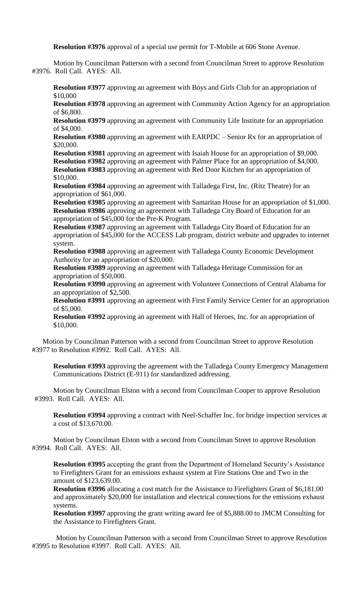**Resolution #3976** approval of a special use permit for T-Mobile at 606 Stone Avenue.

Motion by Councilman Patterson with a second from Councilman Street to approve Resolution #3976. Roll Call. AYES: All.

**Resolution #3977** approving an agreement with Boys and Girls Club for an appropriation of \$10,000

**Resolution #3978** approving an agreement with Community Action Agency for an appropriation of \$6,800.

**Resolution #3979** approving an agreement with Community Life Institute for an appropriation of \$4,000.

**Resolution #3980** approving an agreement with EARPDC – Senior Rx for an appropriation of \$20,000.

**Resolution #3981** approving an agreement with Isaiah House for an appropriation of \$9,000. **Resolution #3982** approving an agreement with Palmer Place for an appropriation of \$4,000. **Resolution #3983** approving an agreement with Red Door Kitchen for an appropriation of \$10,000.

**Resolution #3984** approving an agreement with Talladega First, Inc. (Ritz Theatre) for an appropriation of \$61,000.

**Resolution #3985** approving an agreement with Samaritan House for an appropriation of \$1,000. **Resolution #3986** approving an agreement with Talladega City Board of Education for an appropriation of \$45,000 for the Pre-K Program.

**Resolution #3987** approving an agreement with Talladega City Board of Education for an appropriation of \$45,000 for the ACCESS Lab program, district website and upgrades to internet system.

**Resolution #3988** approving an agreement with Talladega County Economic Development Authority for an appropriation of \$20,000.

**Resolution #3989** approving an agreement with Talladega Heritage Commission for an appropriation of \$50,000.

**Resolution #3990** approving an agreement with Volunteer Connections of Central Alabama for an appropriation of \$2,500.

**Resolution #3991** approving an agreement with First Family Service Center for an appropriation of \$5,000.

**Resolution #3992** approving an agreement with Hall of Heroes, Inc. for an appropriation of \$10,000.

Motion by Councilman Patterson with a second from Councilman Street to approve Resolution #3977 to Resolution #3992. Roll Call. AYES: All.

**Resolution #3993** approving the agreement with the Talladega County Emergency Management Communications District (E-911) for standardized addressing.

Motion by Councilman Elston with a second from Councilman Cooper to approve Resolution #3993. Roll Call. AYES: All.

**Resolution #3994** approving a contract with Neel-Schaffer Inc. for bridge inspection services at a cost of \$13,670.00.

Motion by Councilman Elston with a second from Councilman Street to approve Resolution #3994. Roll Call. AYES: All.

**Resolution #3995** accepting the grant from the Department of Homeland Security's Assistance to Firefighters Grant for an emissions exhaust system at Fire Stations One and Two in the amount of \$123,639.00.

**Resolution #3996** allocating a cost match for the Assistance to Firefighters Grant of \$6,181.00 and approximately \$20,000 for installation and electrical connections for the emissions exhaust systems.

**Resolution #3997** approving the grant writing award fee of \$5,888.00 to JMCM Consulting for the Assistance to Firefighters Grant.

 Motion by Councilman Patterson with a second from Councilman Street to approve Resolution #3995 to Resolution #3997. Roll Call. AYES: All.